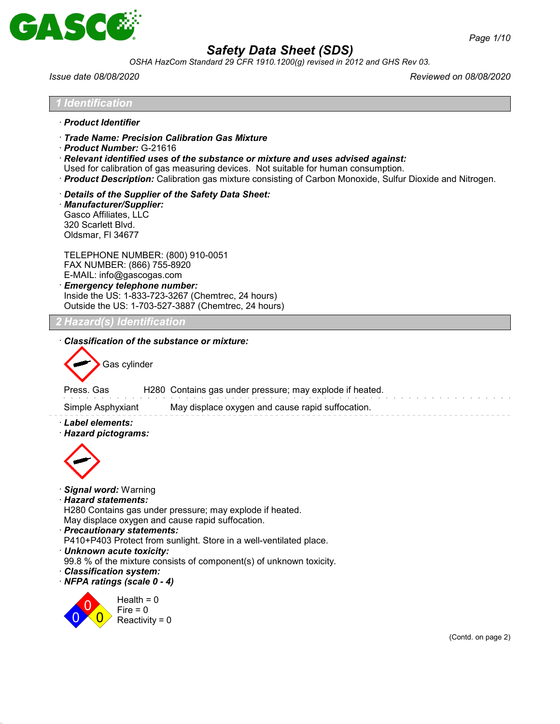

*OSHA HazCom Standard 29 CFR 1910.1200(g) revised in 2012 and GHS Rev 03.*

*1 Identification*

*Issue date 08/08/2020 Reviewed on 08/08/2020*

| · Product Identifier                                                                                                                                                                                                                                                                                                                                                           |                    |
|--------------------------------------------------------------------------------------------------------------------------------------------------------------------------------------------------------------------------------------------------------------------------------------------------------------------------------------------------------------------------------|--------------------|
| Trade Name: Precision Calibration Gas Mixture<br>$\cdot$ Product Number: G-21616<br>$\cdot$ Relevant identified uses of the substance or mixture and uses advised against:<br>Used for calibration of gas measuring devices. Not suitable for human consumption.<br>· Product Description: Calibration gas mixture consisting of Carbon Monoxide, Sulfur Dioxide and Nitrogen. |                    |
| Details of the Supplier of the Safety Data Sheet:<br>· Manufacturer/Supplier:<br>Gasco Affiliates, LLC<br>320 Scarlett Blvd.<br>Oldsmar, FI 34677                                                                                                                                                                                                                              |                    |
| TELEPHONE NUMBER: (800) 910-0051<br>FAX NUMBER: (866) 755-8920<br>E-MAIL: info@gascogas.com<br><b>Emergency telephone number:</b><br>Inside the US: 1-833-723-3267 (Chemtrec, 24 hours)<br>Outside the US: 1-703-527-3887 (Chemtrec, 24 hours)                                                                                                                                 |                    |
| 2 Hazard(s) Identification                                                                                                                                                                                                                                                                                                                                                     |                    |
| Classification of the substance or mixture:                                                                                                                                                                                                                                                                                                                                    |                    |
| Gas cylinder                                                                                                                                                                                                                                                                                                                                                                   |                    |
| H280 Contains gas under pressure; may explode if heated.<br>Press, Gas                                                                                                                                                                                                                                                                                                         |                    |
| May displace oxygen and cause rapid suffocation.<br>Simple Asphyxiant                                                                                                                                                                                                                                                                                                          |                    |
| · Label elements:<br>· Hazard pictograms:                                                                                                                                                                                                                                                                                                                                      |                    |
|                                                                                                                                                                                                                                                                                                                                                                                |                    |
|                                                                                                                                                                                                                                                                                                                                                                                |                    |
| · Signal word: Warning                                                                                                                                                                                                                                                                                                                                                         |                    |
| · Hazard statements:<br>H280 Contains gas under pressure; may explode if heated.                                                                                                                                                                                                                                                                                               |                    |
| May displace oxygen and cause rapid suffocation.<br>· Precautionary statements:                                                                                                                                                                                                                                                                                                |                    |
| P410+P403 Protect from sunlight. Store in a well-ventilated place.                                                                                                                                                                                                                                                                                                             |                    |
| · Unknown acute toxicity:<br>99.8 % of the mixture consists of component(s) of unknown toxicity.                                                                                                                                                                                                                                                                               |                    |
| · Classification system:<br>· NFPA ratings (scale 0 - 4)                                                                                                                                                                                                                                                                                                                       |                    |
| Health = $0$                                                                                                                                                                                                                                                                                                                                                                   |                    |
| Fire $= 0$<br>Reactivity = $0$                                                                                                                                                                                                                                                                                                                                                 |                    |
|                                                                                                                                                                                                                                                                                                                                                                                | (Contd. on page 2) |
|                                                                                                                                                                                                                                                                                                                                                                                |                    |
|                                                                                                                                                                                                                                                                                                                                                                                |                    |
|                                                                                                                                                                                                                                                                                                                                                                                |                    |
|                                                                                                                                                                                                                                                                                                                                                                                |                    |
|                                                                                                                                                                                                                                                                                                                                                                                |                    |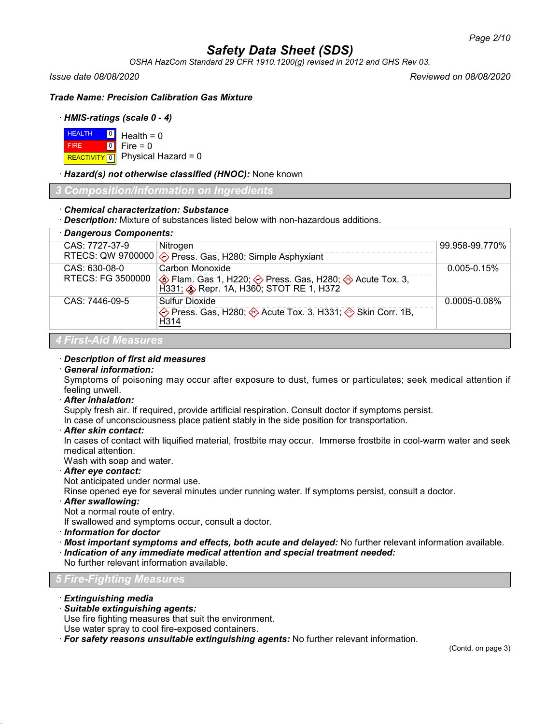*OSHA HazCom Standard 29 CFR 1910.1200(g) revised in 2012 and GHS Rev 03.*

*Issue date 08/08/2020 Reviewed on 08/08/2020*

*Trade Name: Precision Calibration Gas Mixture*

## · *HMIS-ratings (scale 0 - 4)*

| $H$ <b>EALTH</b> $\begin{bmatrix} 0 \\ 1 \end{bmatrix}$ Health = 0 |                                        |
|--------------------------------------------------------------------|----------------------------------------|
| <b>FIRE</b>                                                        | $\textsf{I} \circ \textsf{I}$ Fire = 0 |
|                                                                    | REACTIVITY 0 Physical Hazard = 0       |

· *Hazard(s) not otherwise classified (HNOC):* None known

*3 Composition/Information on Ingredients*

## · *Chemical characterization: Substance*

· *Description:* Mixture of substances listed below with non-hazardous additions.

| · Dangerous Components:            |                                                                                      |                   |  |  |
|------------------------------------|--------------------------------------------------------------------------------------|-------------------|--|--|
| CAS: 7727-37-9                     | Nitrogen<br>RTECS: QW 9700000 $\diamondsuit$ Press. Gas, H280; Simple Asphyxiant     | 99.958-99.770%    |  |  |
| CAS: 630-08-0<br>RTECS: FG 3500000 | Carbon Monoxide                                                                      | $0.005 - 0.15%$   |  |  |
| CAS: 7446-09-5                     | Sulfur Dioxide<br>◆ Press. Gas, H280; → Acute Tox. 3, H331; → Skin Corr. 1B,<br>H314 | $0.0005 - 0.08\%$ |  |  |
| 4 First-Aid Measures               |                                                                                      |                   |  |  |

### · *Description of first aid measures*

· *General information:*

Symptoms of poisoning may occur after exposure to dust, fumes or particulates; seek medical attention if feeling unwell.

· *After inhalation:*

Supply fresh air. If required, provide artificial respiration. Consult doctor if symptoms persist.

In case of unconsciousness place patient stably in the side position for transportation.

· *After skin contact:*

In cases of contact with liquified material, frostbite may occur. Immerse frostbite in cool-warm water and seek medical attention.

Wash with soap and water.

· *After eye contact:*

Not anticipated under normal use.

Rinse opened eye for several minutes under running water. If symptoms persist, consult a doctor.

· *After swallowing:*

Not a normal route of entry.

If swallowed and symptoms occur, consult a doctor.

- · *Information for doctor*
- · *Most important symptoms and effects, both acute and delayed:* No further relevant information available.

· *Indication of any immediate medical attention and special treatment needed:*

No further relevant information available.

## *5 Fire-Fighting Measures*

- · *Extinguishing media*
- · *Suitable extinguishing agents:*

Use fire fighting measures that suit the environment.

Use water spray to cool fire-exposed containers.

· *For safety reasons unsuitable extinguishing agents:* No further relevant information.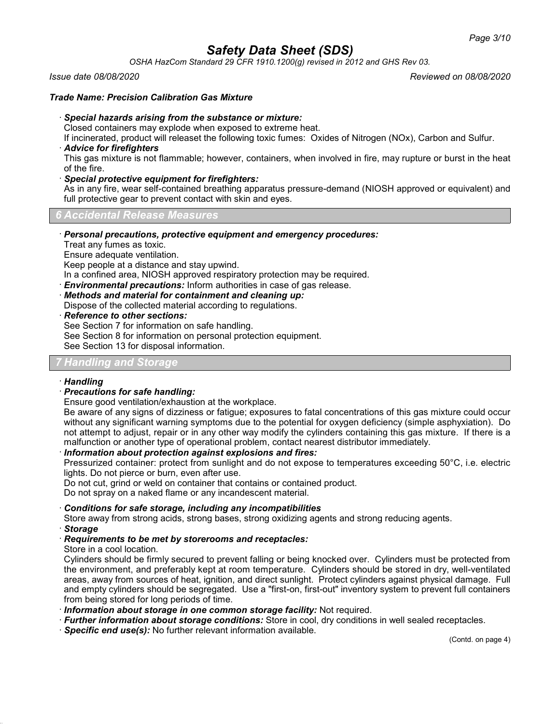*OSHA HazCom Standard 29 CFR 1910.1200(g) revised in 2012 and GHS Rev 03.*

### *Issue date 08/08/2020 Reviewed on 08/08/2020*

### *Trade Name: Precision Calibration Gas Mixture*

#### · *Special hazards arising from the substance or mixture:*

Closed containers may explode when exposed to extreme heat.

If incinerated, product will releaset the following toxic fumes: Oxides of Nitrogen (NOx), Carbon and Sulfur. · *Advice for firefighters*

This gas mixture is not flammable; however, containers, when involved in fire, may rupture or burst in the heat of the fire.

#### · *Special protective equipment for firefighters:*

As in any fire, wear self-contained breathing apparatus pressure-demand (NIOSH approved or equivalent) and full protective gear to prevent contact with skin and eyes.

#### *6 Accidental Release Measures*

· *Personal precautions, protective equipment and emergency procedures:*

Treat any fumes as toxic.

Ensure adequate ventilation.

Keep people at a distance and stay upwind.

In a confined area, NIOSH approved respiratory protection may be required.

· *Environmental precautions:* Inform authorities in case of gas release.

· *Methods and material for containment and cleaning up:*

Dispose of the collected material according to regulations.

· *Reference to other sections:*

See Section 7 for information on safe handling.

See Section 8 for information on personal protection equipment.

See Section 13 for disposal information.

## *7 Handling and Storage*

### · *Handling*

## · *Precautions for safe handling:*

Ensure good ventilation/exhaustion at the workplace.

Be aware of any signs of dizziness or fatigue; exposures to fatal concentrations of this gas mixture could occur without any significant warning symptoms due to the potential for oxygen deficiency (simple asphyxiation). Do not attempt to adjust, repair or in any other way modify the cylinders containing this gas mixture. If there is a malfunction or another type of operational problem, contact nearest distributor immediately.

### · *Information about protection against explosions and fires:*

Pressurized container: protect from sunlight and do not expose to temperatures exceeding 50°C, i.e. electric lights. Do not pierce or burn, even after use.

Do not cut, grind or weld on container that contains or contained product.

Do not spray on a naked flame or any incandescent material.

#### · *Conditions for safe storage, including any incompatibilities*

Store away from strong acids, strong bases, strong oxidizing agents and strong reducing agents. · *Storage*

### · *Requirements to be met by storerooms and receptacles:*

Store in a cool location.

Cylinders should be firmly secured to prevent falling or being knocked over. Cylinders must be protected from the environment, and preferably kept at room temperature. Cylinders should be stored in dry, well-ventilated areas, away from sources of heat, ignition, and direct sunlight. Protect cylinders against physical damage. Full and empty cylinders should be segregated. Use a "first-on, first-out" inventory system to prevent full containers from being stored for long periods of time.

- · *Information about storage in one common storage facility:* Not required.
- · *Further information about storage conditions:* Store in cool, dry conditions in well sealed receptacles.
- · *Specific end use(s):* No further relevant information available.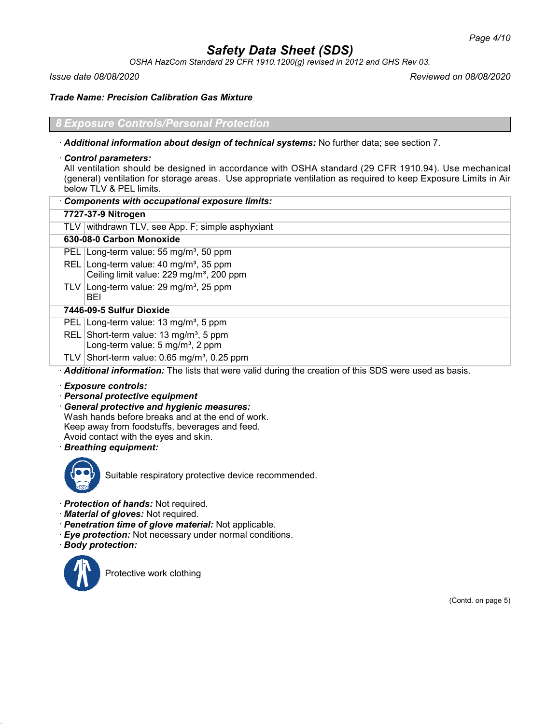*OSHA HazCom Standard 29 CFR 1910.1200(g) revised in 2012 and GHS Rev 03.*

*Issue date 08/08/2020 Reviewed on 08/08/2020*

*Trade Name: Precision Calibration Gas Mixture*

### *Exposure Controls/Personal Protection*

· *Additional information about design of technical systems:* No further data; see section 7.

### · *Control parameters:*

All ventilation should be designed in accordance with OSHA standard (29 CFR 1910.94). Use mechanical (general) ventilation for storage areas. Use appropriate ventilation as required to keep Exposure Limits in Air below TLV & PEL limits.

| Components with occupational exposure limits:                                                                   |  |  |  |
|-----------------------------------------------------------------------------------------------------------------|--|--|--|
| 7727-37-9 Nitrogen                                                                                              |  |  |  |
| TLV withdrawn TLV, see App. F; simple asphyxiant                                                                |  |  |  |
| 630-08-0 Carbon Monoxide                                                                                        |  |  |  |
| Long-term value: $55 \text{ mg/m}^3$ , 50 ppm<br><b>PEL</b>                                                     |  |  |  |
| Long-term value: 40 mg/m <sup>3</sup> , 35 ppm<br>REL I<br>Ceiling limit value: 229 mg/m <sup>3</sup> , 200 ppm |  |  |  |
| TLV Long-term value: $29 \text{ mg/m}^3$ , $25 \text{ ppm}$<br>BEI                                              |  |  |  |
| 7446-09-5 Sulfur Dioxide                                                                                        |  |  |  |
| PEL   Long-term value: 13 mg/m <sup>3</sup> , 5 ppm                                                             |  |  |  |
| REL Short-term value: 13 mg/m <sup>3</sup> , 5 ppm<br>Long-term value: $5 \text{ mg/m}^3$ , 2 ppm               |  |  |  |
| TLV Short-term value: $0.65$ mg/m <sup>3</sup> , 0.25 ppm                                                       |  |  |  |
| Additional information: The lists that were valid during the creation of this SDS were used as basis.           |  |  |  |

· *Exposure controls:*

- · *Personal protective equipment*
- · *General protective and hygienic measures:* Wash hands before breaks and at the end of work. Keep away from foodstuffs, beverages and feed. Avoid contact with the eyes and skin.
- · *Breathing equipment:*



Suitable respiratory protective device recommended.

- · *Protection of hands:* Not required.
- · *Material of gloves:* Not required.
- · *Penetration time of glove material:* Not applicable.
- · *Eye protection:* Not necessary under normal conditions.
- · *Body protection:*



Protective work clothing

(Contd. on page 5)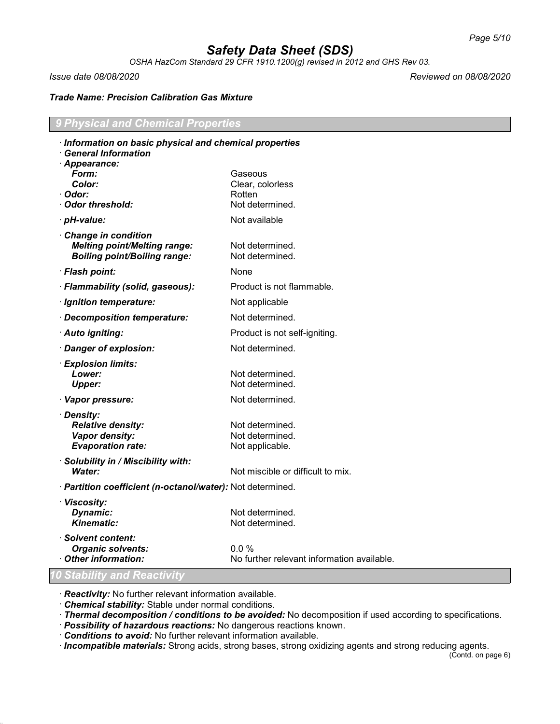*OSHA HazCom Standard 29 CFR 1910.1200(g) revised in 2012 and GHS Rev 03.*

*Issue date 08/08/2020 Reviewed on 08/08/2020*

### *Trade Name: Precision Calibration Gas Mixture*

## *9 Physical and Chemical Properties*

| · Information on basic physical and chemical properties                                           |                                            |  |
|---------------------------------------------------------------------------------------------------|--------------------------------------------|--|
| <b>General Information</b><br>· Appearance:                                                       |                                            |  |
| Form:                                                                                             | Gaseous                                    |  |
| Color:                                                                                            | Clear, colorless                           |  |
| ∙ Odor:                                                                                           | Rotten                                     |  |
| Odor threshold:                                                                                   | Not determined.                            |  |
| · pH-value:                                                                                       | Not available                              |  |
| Change in condition<br><b>Melting point/Melting range:</b><br><b>Boiling point/Boiling range:</b> | Not determined.<br>Not determined.         |  |
| · Flash point:                                                                                    | None                                       |  |
| · Flammability (solid, gaseous):                                                                  | Product is not flammable.                  |  |
| · Ignition temperature:                                                                           | Not applicable                             |  |
| · Decomposition temperature:                                                                      | Not determined.                            |  |
| · Auto igniting:                                                                                  | Product is not self-igniting.              |  |
| · Danger of explosion:                                                                            | Not determined.                            |  |
| · Explosion limits:                                                                               |                                            |  |
| Lower:                                                                                            | Not determined.                            |  |
| <b>Upper:</b>                                                                                     | Not determined.                            |  |
| · Vapor pressure:                                                                                 | Not determined.                            |  |
| · Density:                                                                                        |                                            |  |
| <b>Relative density:</b>                                                                          | Not determined.                            |  |
| Vapor density:<br><b>Evaporation rate:</b>                                                        | Not determined.                            |  |
|                                                                                                   | Not applicable.                            |  |
| · Solubility in / Miscibility with:<br>Water:                                                     | Not miscible or difficult to mix.          |  |
| · Partition coefficient (n-octanol/water): Not determined.                                        |                                            |  |
| · Viscosity:                                                                                      |                                            |  |
| Dynamic:                                                                                          | Not determined.                            |  |
| <b>Kinematic:</b>                                                                                 | Not determined.                            |  |
| · Solvent content:                                                                                |                                            |  |
| <b>Organic solvents:</b>                                                                          | $0.0\%$                                    |  |
| Other information:                                                                                | No further relevant information available. |  |
| 0 Stability and Reactivity                                                                        |                                            |  |

· *Reactivity:* No further relevant information available.

· *Chemical stability:* Stable under normal conditions.

· *Thermal decomposition / conditions to be avoided:* No decomposition if used according to specifications.

· *Possibility of hazardous reactions:* No dangerous reactions known.

· *Conditions to avoid:* No further relevant information available.

· *Incompatible materials:* Strong acids, strong bases, strong oxidizing agents and strong reducing agents.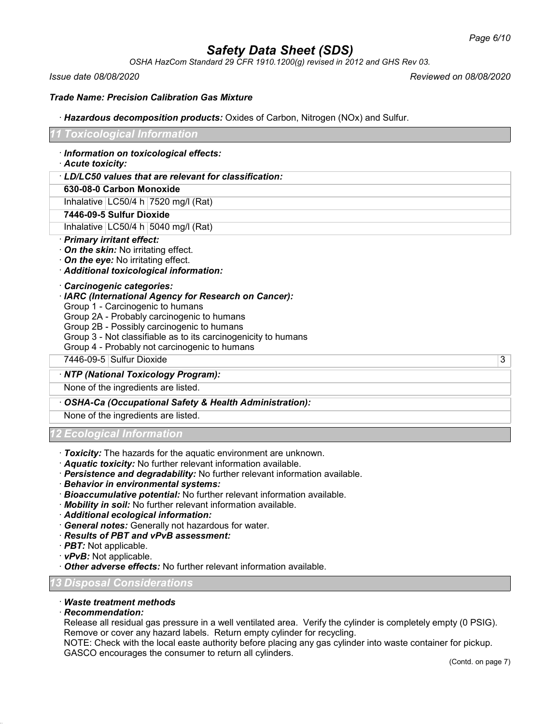*OSHA HazCom Standard 29 CFR 1910.1200(g) revised in 2012 and GHS Rev 03.*

*Issue date 08/08/2020 Reviewed on 08/08/2020*

### *Trade Name: Precision Calibration Gas Mixture*

· *Hazardous decomposition products:* Oxides of Carbon, Nitrogen (NOx) and Sulfur.

#### *11 Toxicological Information*

· *Information on toxicological effects:*

· *Acute toxicity:*

#### · *LD/LC50 values that are relevant for classification:*

### **630-08-0 Carbon Monoxide**

Inhalative  $|LG50/4 h|7520$  mg/l (Rat)

#### **7446-09-5 Sulfur Dioxide**

Inhalative  $|LG50/4 h|5040$  mg/l (Rat)

#### · *Primary irritant effect:*

- · *On the skin:* No irritating effect.
- · *On the eye:* No irritating effect.
- · *Additional toxicological information:*

#### · *Carcinogenic categories:*

- · *IARC (International Agency for Research on Cancer):*
- Group 1 Carcinogenic to humans
- Group 2A Probably carcinogenic to humans
- Group 2B Possibly carcinogenic to humans
- Group 3 Not classifiable as to its carcinogenicity to humans
- Group 4 Probably not carcinogenic to humans

7446-09-5 Sulfur Dioxide 3

### · *NTP (National Toxicology Program):*

None of the ingredients are listed.

### · *OSHA-Ca (Occupational Safety & Health Administration):*

None of the ingredients are listed.

### *12 Ecological Information*

- · *Toxicity:* The hazards for the aquatic environment are unknown.
- · *Aquatic toxicity:* No further relevant information available.
- · *Persistence and degradability:* No further relevant information available.
- · *Behavior in environmental systems:*
- · *Bioaccumulative potential:* No further relevant information available.
- · *Mobility in soil:* No further relevant information available.
- · *Additional ecological information:*
- · *General notes:* Generally not hazardous for water.
- · *Results of PBT and vPvB assessment:*
- · *PBT:* Not applicable.
- · *vPvB:* Not applicable.
- · *Other adverse effects:* No further relevant information available.

### *13 Disposal Considerations*

## · *Waste treatment methods*

#### · *Recommendation:*

Release all residual gas pressure in a well ventilated area. Verify the cylinder is completely empty (0 PSIG). Remove or cover any hazard labels. Return empty cylinder for recycling.

NOTE: Check with the local easte authority before placing any gas cylinder into waste container for pickup. GASCO encourages the consumer to return all cylinders.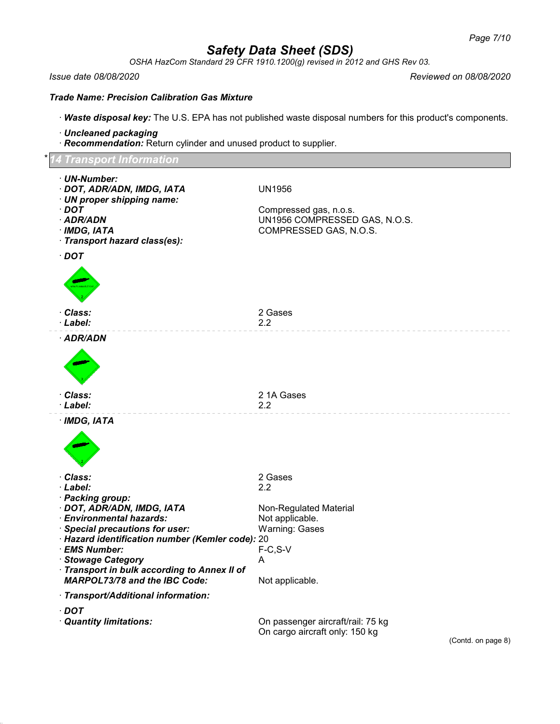*OSHA HazCom Standard 29 CFR 1910.1200(g) revised in 2012 and GHS Rev 03.*

#### *Issue date 08/08/2020 Reviewed on 08/08/2020*

*Trade Name: Precision Calibration Gas Mixture*

· *Waste disposal key:* The U.S. EPA has not published waste disposal numbers for this product's components.

- · *Uncleaned packaging*
- · *Recommendation:* Return cylinder and unused product to supplier.

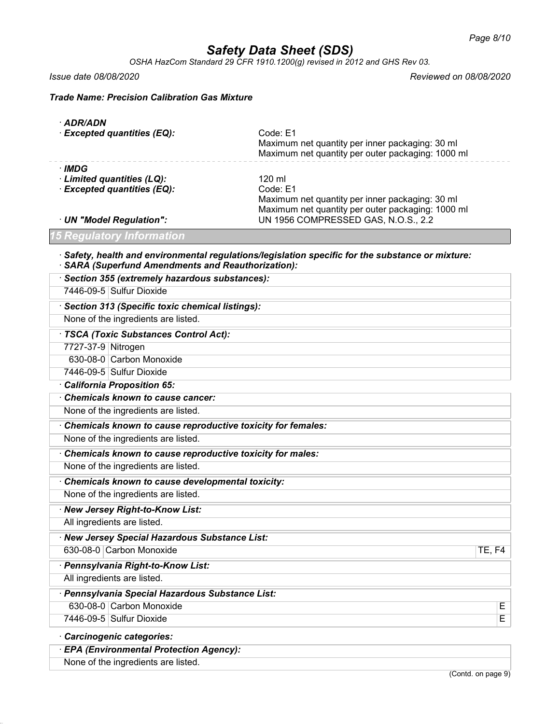*OSHA HazCom Standard 29 CFR 1910.1200(g) revised in 2012 and GHS Rev 03.*

*Issue date 08/08/2020 Reviewed on 08/08/2020*

*Trade Name: Precision Calibration Gas Mixture*

| · ADR/ADN                                                                                                                                                          |                                                                                                                  |  |  |  |
|--------------------------------------------------------------------------------------------------------------------------------------------------------------------|------------------------------------------------------------------------------------------------------------------|--|--|--|
| <b>Excepted quantities (EQ):</b>                                                                                                                                   | Code: E1<br>Maximum net quantity per inner packaging: 30 ml<br>Maximum net quantity per outer packaging: 1000 ml |  |  |  |
|                                                                                                                                                                    |                                                                                                                  |  |  |  |
| · IMDG<br>· Limited quantities (LQ):                                                                                                                               | 120 ml                                                                                                           |  |  |  |
| · Excepted quantities (EQ):                                                                                                                                        | Code: E1                                                                                                         |  |  |  |
|                                                                                                                                                                    | Maximum net quantity per inner packaging: 30 ml                                                                  |  |  |  |
| · UN "Model Regulation":                                                                                                                                           | Maximum net quantity per outer packaging: 1000 ml<br>UN 1956 COMPRESSED GAS, N.O.S., 2.2                         |  |  |  |
| 15 Regulatory Information                                                                                                                                          |                                                                                                                  |  |  |  |
| $\cdot$ Safety, health and environmental regulations/legislation specific for the substance or mixture:<br><b>SARA (Superfund Amendments and Reauthorization):</b> |                                                                                                                  |  |  |  |
| · Section 355 (extremely hazardous substances):                                                                                                                    |                                                                                                                  |  |  |  |
| 7446-09-5 Sulfur Dioxide                                                                                                                                           |                                                                                                                  |  |  |  |
| · Section 313 (Specific toxic chemical listings):                                                                                                                  |                                                                                                                  |  |  |  |
| None of the ingredients are listed.                                                                                                                                |                                                                                                                  |  |  |  |
| · TSCA (Toxic Substances Control Act):                                                                                                                             |                                                                                                                  |  |  |  |
| 7727-37-9 Nitrogen                                                                                                                                                 |                                                                                                                  |  |  |  |
| 630-08-0 Carbon Monoxide                                                                                                                                           |                                                                                                                  |  |  |  |
| 7446-09-5 Sulfur Dioxide                                                                                                                                           |                                                                                                                  |  |  |  |
| · California Proposition 65:                                                                                                                                       |                                                                                                                  |  |  |  |
| Chemicals known to cause cancer:                                                                                                                                   |                                                                                                                  |  |  |  |
| None of the ingredients are listed.                                                                                                                                |                                                                                                                  |  |  |  |
| Chemicals known to cause reproductive toxicity for females:                                                                                                        |                                                                                                                  |  |  |  |
| None of the ingredients are listed.                                                                                                                                |                                                                                                                  |  |  |  |
| Chemicals known to cause reproductive toxicity for males:                                                                                                          |                                                                                                                  |  |  |  |
| None of the ingredients are listed.                                                                                                                                |                                                                                                                  |  |  |  |
| Chemicals known to cause developmental toxicity:                                                                                                                   |                                                                                                                  |  |  |  |
| None of the ingredients are listed.                                                                                                                                |                                                                                                                  |  |  |  |
| · New Jersey Right-to-Know List:                                                                                                                                   |                                                                                                                  |  |  |  |
| All ingredients are listed.                                                                                                                                        |                                                                                                                  |  |  |  |
| New Jersey Special Hazardous Substance List:                                                                                                                       |                                                                                                                  |  |  |  |
| 630-08-0 Carbon Monoxide                                                                                                                                           | <b>TE, F4</b>                                                                                                    |  |  |  |
| · Pennsylvania Right-to-Know List:                                                                                                                                 |                                                                                                                  |  |  |  |
| All ingredients are listed.                                                                                                                                        |                                                                                                                  |  |  |  |
| · Pennsylvania Special Hazardous Substance List:                                                                                                                   |                                                                                                                  |  |  |  |
| 630-08-0 Carbon Monoxide                                                                                                                                           | Е                                                                                                                |  |  |  |
| 7446-09-5 Sulfur Dioxide                                                                                                                                           | E                                                                                                                |  |  |  |
| Carcinogenic categories:                                                                                                                                           |                                                                                                                  |  |  |  |
| · EPA (Environmental Protection Agency):                                                                                                                           |                                                                                                                  |  |  |  |

None of the ingredients are listed.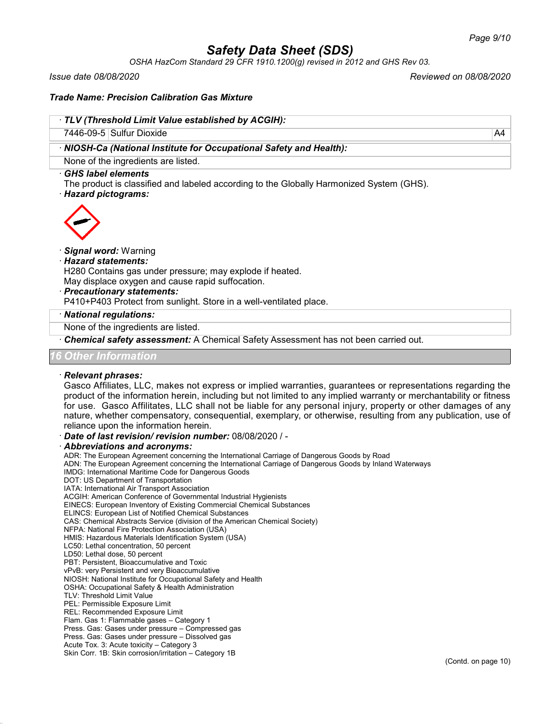*OSHA HazCom Standard 29 CFR 1910.1200(g) revised in 2012 and GHS Rev 03.*

*Issue date 08/08/2020 Reviewed on 08/08/2020*

#### *Trade Name: Precision Calibration Gas Mixture*

#### · *TLV (Threshold Limit Value established by ACGIH):*

7446-09-5 Sulfur Dioxide A4

· *NIOSH-Ca (National Institute for Occupational Safety and Health):*

None of the ingredients are listed.

#### · *GHS label elements*

The product is classified and labeled according to the Globally Harmonized System (GHS).

· *Hazard pictograms:*



#### · *Signal word:* Warning

#### · *Hazard statements:*

H280 Contains gas under pressure; may explode if heated.

May displace oxygen and cause rapid suffocation.

- · *Precautionary statements:*
- P410+P403 Protect from sunlight. Store in a well-ventilated place.

### · *National regulations:*

None of the ingredients are listed.

· *Chemical safety assessment:* A Chemical Safety Assessment has not been carried out.

#### *16 Other Information*

#### · *Relevant phrases:*

Gasco Affiliates, LLC, makes not express or implied warranties, guarantees or representations regarding the product of the information herein, including but not limited to any implied warranty or merchantability or fitness for use. Gasco Affilitates, LLC shall not be liable for any personal injury, property or other damages of any nature, whether compensatory, consequential, exemplary, or otherwise, resulting from any publication, use of reliance upon the information herein.

· *Date of last revision/ revision number:* 08/08/2020 / -

#### · *Abbreviations and acronyms:*

ADR: The European Agreement concerning the International Carriage of Dangerous Goods by Road ADN: The European Agreement concerning the International Carriage of Dangerous Goods by Inland Waterways IMDG: International Maritime Code for Dangerous Goods DOT: US Department of Transportation IATA: International Air Transport Association ACGIH: American Conference of Governmental Industrial Hygienists EINECS: European Inventory of Existing Commercial Chemical Substances ELINCS: European List of Notified Chemical Substances CAS: Chemical Abstracts Service (division of the American Chemical Society) NFPA: National Fire Protection Association (USA) HMIS: Hazardous Materials Identification System (USA) LC50: Lethal concentration, 50 percent LD50: Lethal dose, 50 percent PBT: Persistent, Bioaccumulative and Toxic vPvB: very Persistent and very Bioaccumulative NIOSH: National Institute for Occupational Safety and Health OSHA: Occupational Safety & Health Administration TLV: Threshold Limit Value PEL: Permissible Exposure Limit REL: Recommended Exposure Limit Flam. Gas 1: Flammable gases – Category 1 Press. Gas: Gases under pressure – Compressed gas Press. Gas: Gases under pressure – Dissolved gas Acute Tox. 3: Acute toxicity – Category 3 Skin Corr. 1B: Skin corrosion/irritation – Category 1B